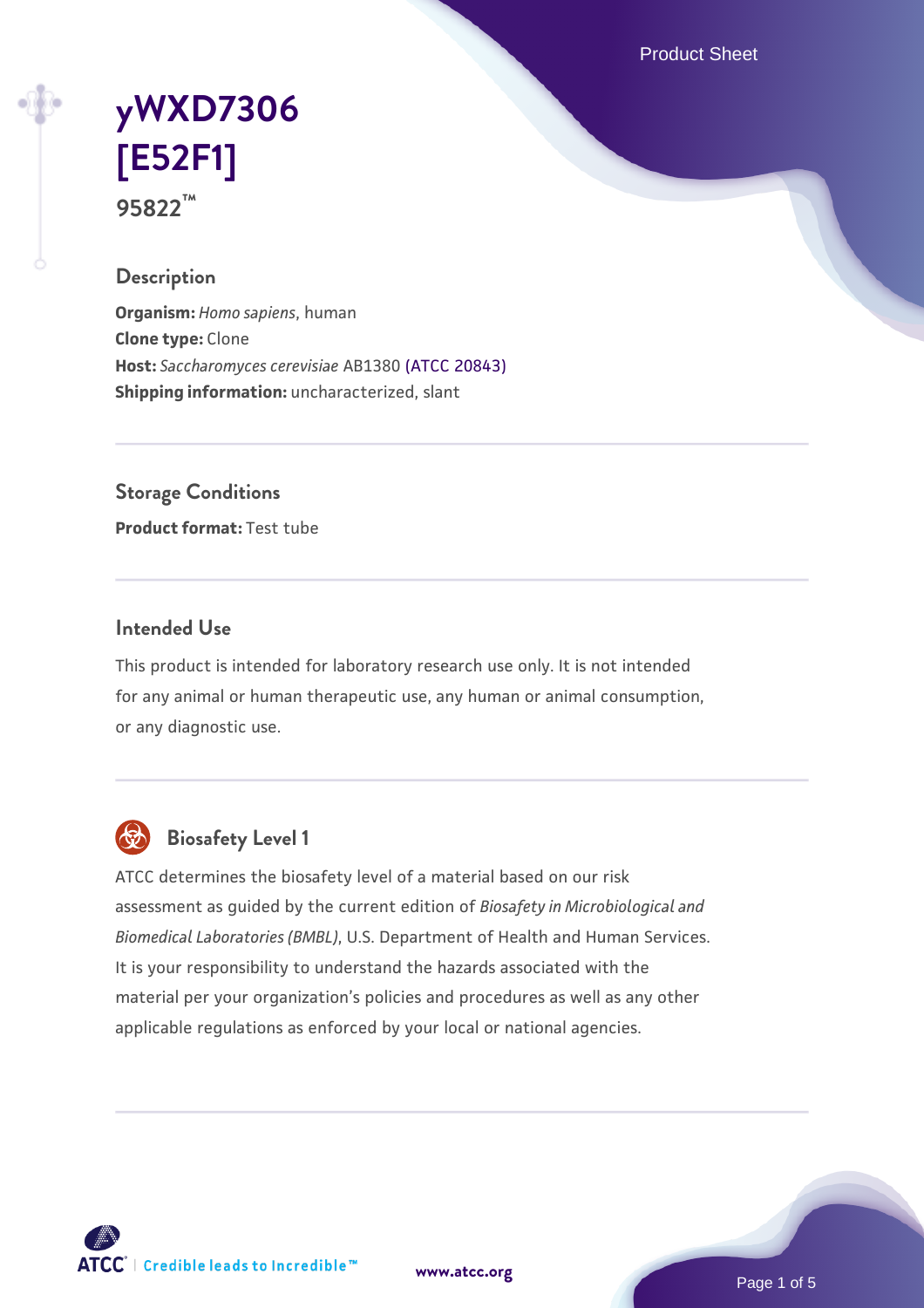Product Sheet

# **[yWXD7306](https://www.atcc.org/products/95822) [\[E52F1\]](https://www.atcc.org/products/95822) 95822™**

### **Description**

**Organism:** *Homo sapiens*, human **Clone type:** Clone **Host:** *Saccharomyces cerevisiae* AB1380 [\(ATCC 20843\)](https://www.atcc.org/products/20843) **Shipping information:** uncharacterized, slant

**Storage Conditions**

**Product format:** Test tube

## **Intended Use**

This product is intended for laboratory research use only. It is not intended for any animal or human therapeutic use, any human or animal consumption, or any diagnostic use.



## **Biosafety Level 1**

ATCC determines the biosafety level of a material based on our risk assessment as guided by the current edition of *Biosafety in Microbiological and Biomedical Laboratories (BMBL)*, U.S. Department of Health and Human Services. It is your responsibility to understand the hazards associated with the material per your organization's policies and procedures as well as any other applicable regulations as enforced by your local or national agencies.

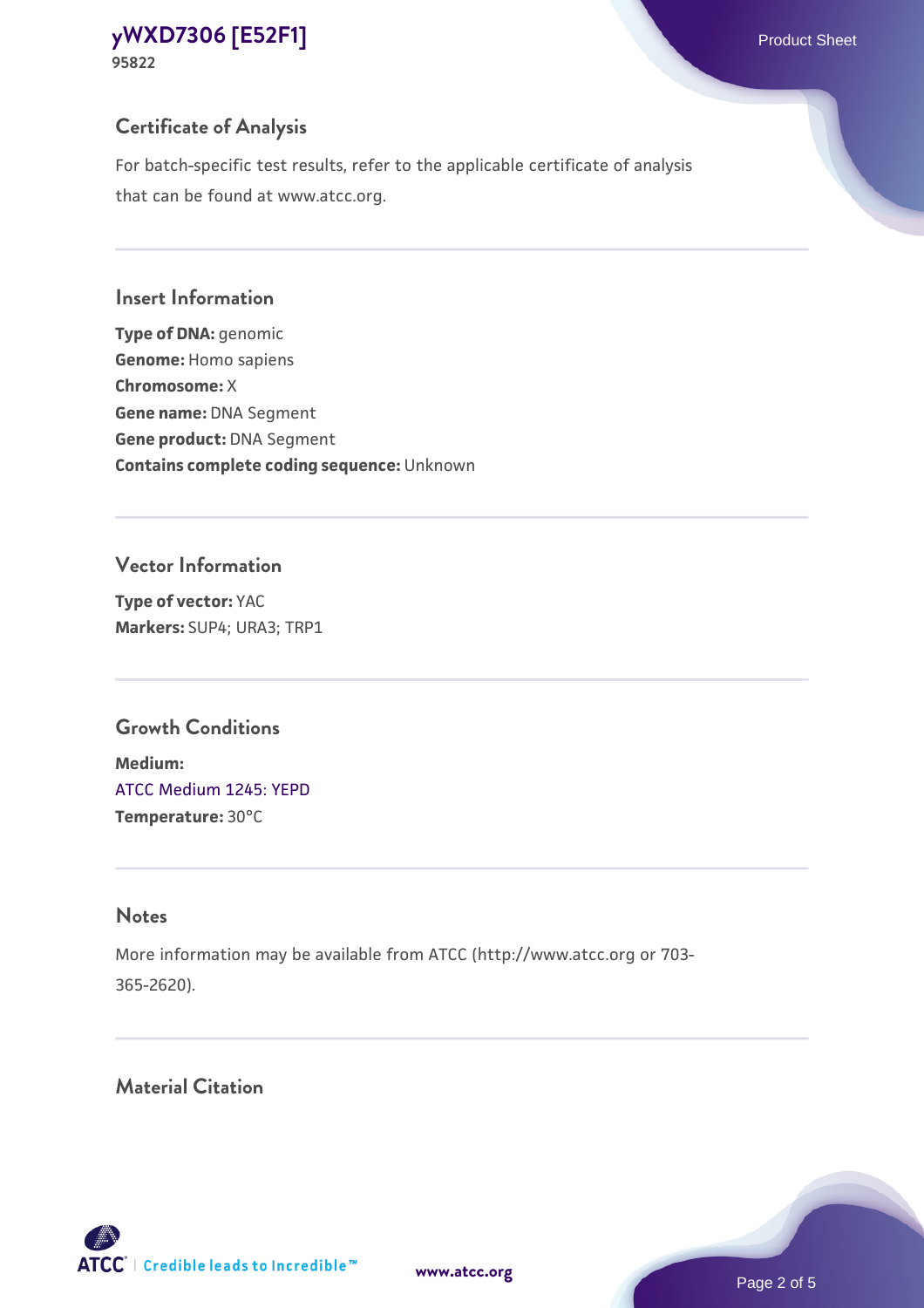## **Certificate of Analysis**

For batch-specific test results, refer to the applicable certificate of analysis that can be found at www.atcc.org.

#### **Insert Information**

**Type of DNA:** genomic **Genome:** Homo sapiens **Chromosome:** X **Gene name:** DNA Segment **Gene product:** DNA Segment **Contains complete coding sequence:** Unknown

#### **Vector Information**

**Type of vector:** YAC **Markers:** SUP4; URA3; TRP1

## **Growth Conditions**

**Medium:**  [ATCC Medium 1245: YEPD](https://www.atcc.org/-/media/product-assets/documents/microbial-media-formulations/1/2/4/5/atcc-medium-1245.pdf?rev=705ca55d1b6f490a808a965d5c072196) **Temperature:** 30°C

## **Notes**

More information may be available from ATCC (http://www.atcc.org or 703- 365-2620).

## **Material Citation**

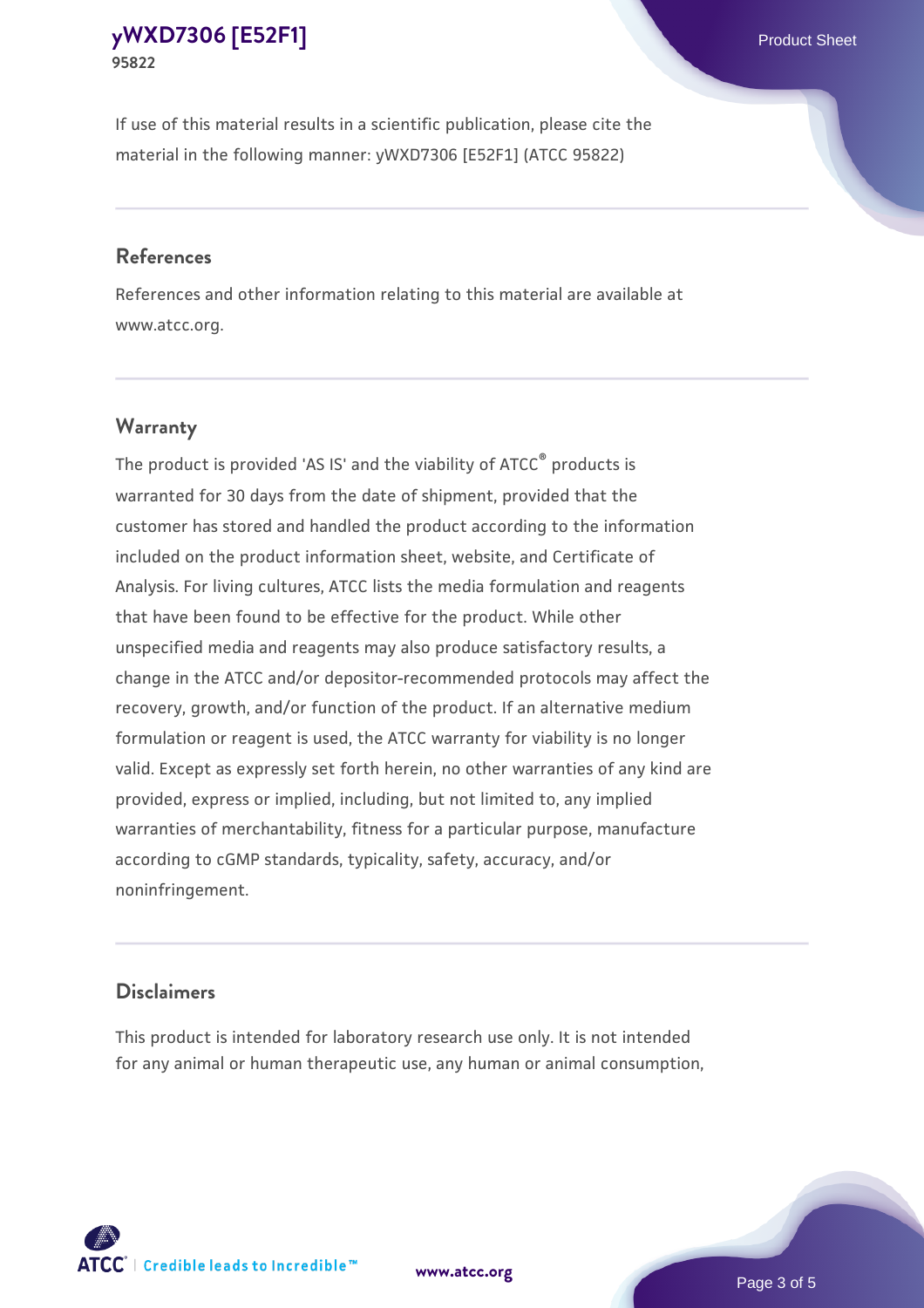If use of this material results in a scientific publication, please cite the material in the following manner: yWXD7306 [E52F1] (ATCC 95822)

#### **References**

References and other information relating to this material are available at www.atcc.org.

## **Warranty**

The product is provided 'AS IS' and the viability of  $ATCC<sup>®</sup>$  products is warranted for 30 days from the date of shipment, provided that the customer has stored and handled the product according to the information included on the product information sheet, website, and Certificate of Analysis. For living cultures, ATCC lists the media formulation and reagents that have been found to be effective for the product. While other unspecified media and reagents may also produce satisfactory results, a change in the ATCC and/or depositor-recommended protocols may affect the recovery, growth, and/or function of the product. If an alternative medium formulation or reagent is used, the ATCC warranty for viability is no longer valid. Except as expressly set forth herein, no other warranties of any kind are provided, express or implied, including, but not limited to, any implied warranties of merchantability, fitness for a particular purpose, manufacture according to cGMP standards, typicality, safety, accuracy, and/or noninfringement.

#### **Disclaimers**

This product is intended for laboratory research use only. It is not intended for any animal or human therapeutic use, any human or animal consumption,

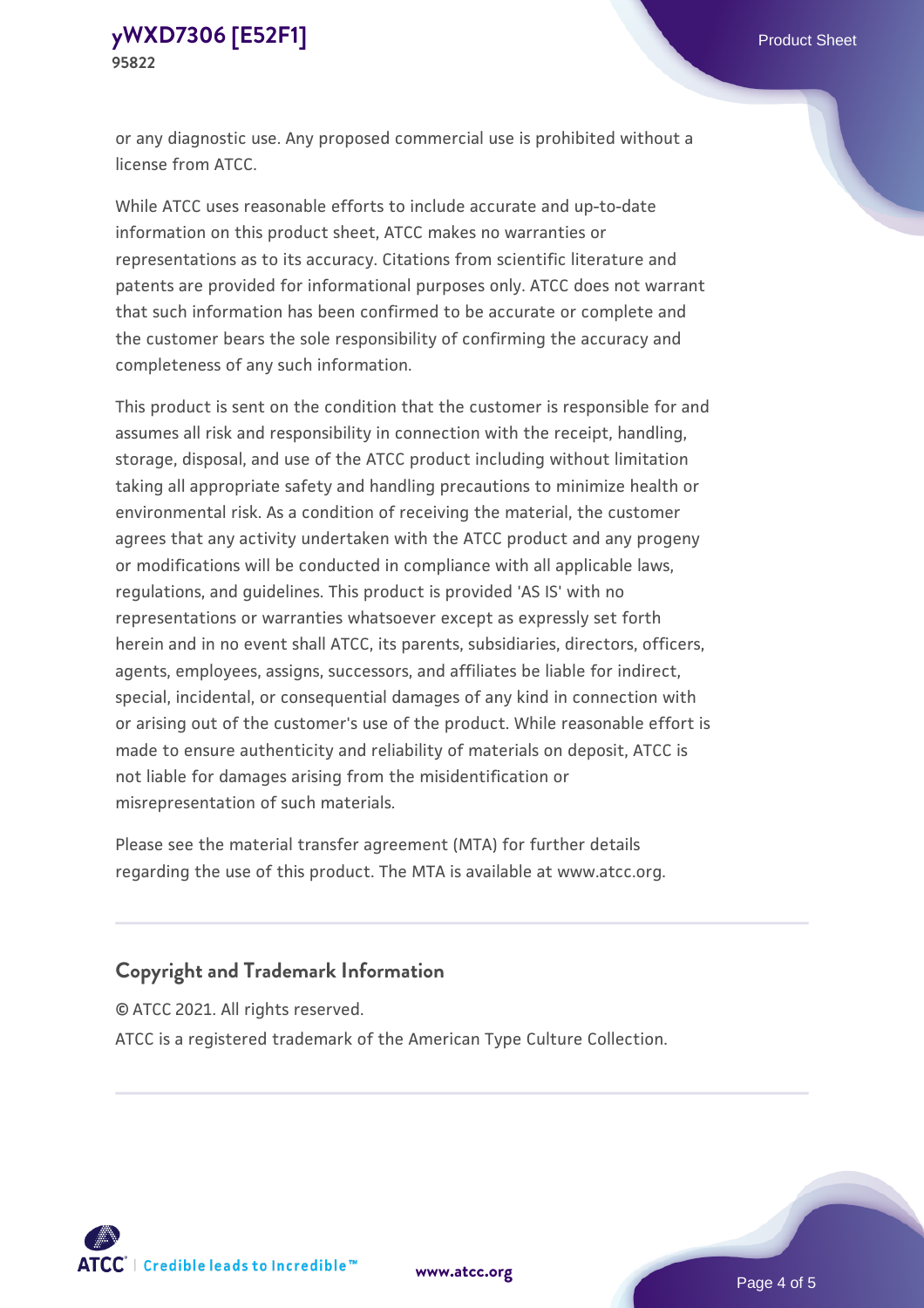or any diagnostic use. Any proposed commercial use is prohibited without a license from ATCC.

While ATCC uses reasonable efforts to include accurate and up-to-date information on this product sheet, ATCC makes no warranties or representations as to its accuracy. Citations from scientific literature and patents are provided for informational purposes only. ATCC does not warrant that such information has been confirmed to be accurate or complete and the customer bears the sole responsibility of confirming the accuracy and completeness of any such information.

This product is sent on the condition that the customer is responsible for and assumes all risk and responsibility in connection with the receipt, handling, storage, disposal, and use of the ATCC product including without limitation taking all appropriate safety and handling precautions to minimize health or environmental risk. As a condition of receiving the material, the customer agrees that any activity undertaken with the ATCC product and any progeny or modifications will be conducted in compliance with all applicable laws, regulations, and guidelines. This product is provided 'AS IS' with no representations or warranties whatsoever except as expressly set forth herein and in no event shall ATCC, its parents, subsidiaries, directors, officers, agents, employees, assigns, successors, and affiliates be liable for indirect, special, incidental, or consequential damages of any kind in connection with or arising out of the customer's use of the product. While reasonable effort is made to ensure authenticity and reliability of materials on deposit, ATCC is not liable for damages arising from the misidentification or misrepresentation of such materials.

Please see the material transfer agreement (MTA) for further details regarding the use of this product. The MTA is available at www.atcc.org.

## **Copyright and Trademark Information**

© ATCC 2021. All rights reserved.

ATCC is a registered trademark of the American Type Culture Collection.



**[www.atcc.org](http://www.atcc.org)**

Page 4 of 5